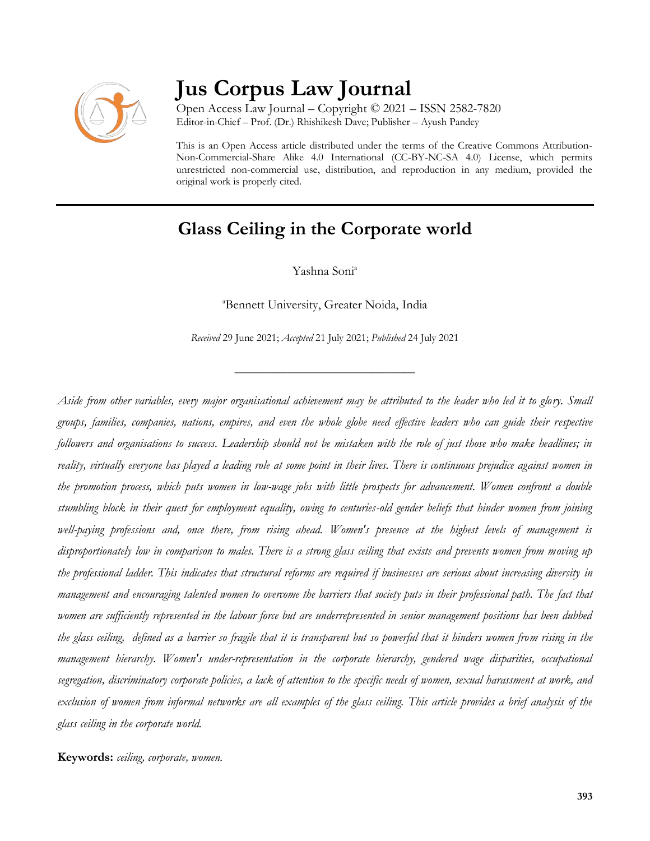

# **Jus Corpus Law Journal**

Open Access Law Journal – Copyright © 2021 – ISSN 2582-7820 Editor-in-Chief – Prof. (Dr.) Rhishikesh Dave; Publisher – Ayush Pandey

This is an Open Access article distributed under the terms of the Creative Commons Attribution-Non-Commercial-Share Alike 4.0 International (CC-BY-NC-SA 4.0) License, which permits unrestricted non-commercial use, distribution, and reproduction in any medium, provided the original work is properly cited.

# **Glass Ceiling in the Corporate world**

Yashna Soni a

<sup>a</sup>Bennett University, Greater Noida, India

*Received* 29 June 2021; *Accepted* 21 July 2021; *Published* 24 July 2021

\_\_\_\_\_\_\_\_\_\_\_\_\_\_\_\_\_\_\_\_\_\_\_\_\_\_\_\_\_\_\_\_\_\_

*Aside from other variables, every major organisational achievement may be attributed to the leader who led it to glory. Small groups, families, companies, nations, empires, and even the whole globe need effective leaders who can guide their respective followers and organisations to success. Leadership should not be mistaken with the role of just those who make headlines; in reality, virtually everyone has played a leading role at some point in their lives. There is continuous prejudice against women in the promotion process, which puts women in low-wage jobs with little prospects for advancement. Women confront a double stumbling block in their quest for employment equality, owing to centuries-old gender beliefs that hinder women from joining well-paying professions and, once there, from rising ahead. Women's presence at the highest levels of management is disproportionately low in comparison to males. There is a strong glass ceiling that exists and prevents women from moving up the professional ladder. This indicates that structural reforms are required if businesses are serious about increasing diversity in management and encouraging talented women to overcome the barriers that society puts in their professional path. The fact that women are sufficiently represented in the labour force but are underrepresented in senior management positions has been dubbed the glass ceiling, defined as a barrier so fragile that it is transparent but so powerful that it hinders women from rising in the management hierarchy. Women's under-representation in the corporate hierarchy, gendered wage disparities, occupational segregation, discriminatory corporate policies, a lack of attention to the specific needs of women, sexual harassment at work, and exclusion of women from informal networks are all examples of the glass ceiling. This article provides a brief analysis of the glass ceiling in the corporate world.* 

**Keywords:** *ceiling, corporate, women.*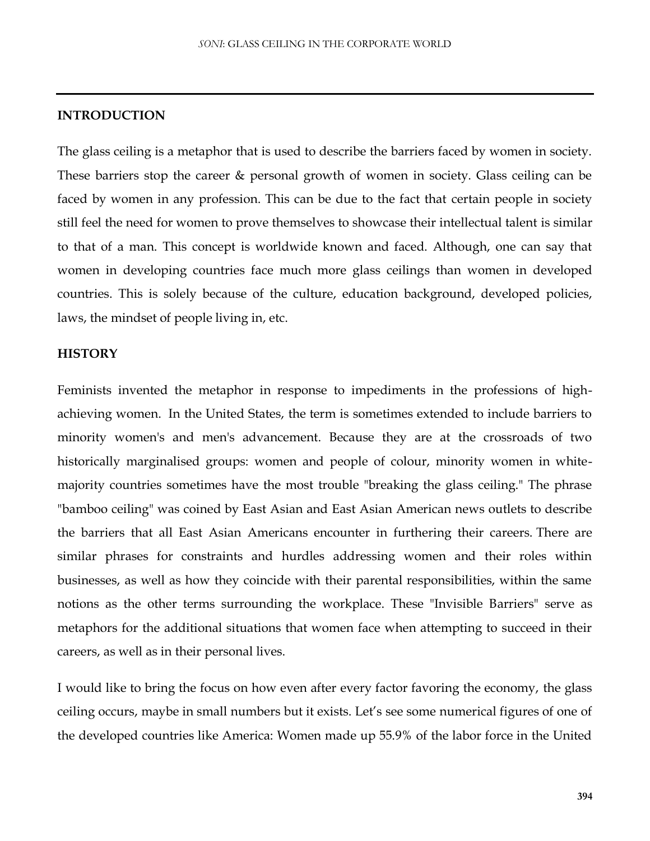#### **INTRODUCTION**

The glass ceiling is a metaphor that is used to describe the barriers faced by women in society. These barriers stop the career & personal growth of women in society. Glass ceiling can be faced by women in any profession. This can be due to the fact that certain people in society still feel the need for women to prove themselves to showcase their intellectual talent is similar to that of a man. This concept is worldwide known and faced. Although, one can say that women in developing countries face much more glass ceilings than women in developed countries. This is solely because of the culture, education background, developed policies, laws, the mindset of people living in, etc.

#### **HISTORY**

Feminists invented the metaphor in response to impediments in the professions of highachieving women. In the United States, the term is sometimes extended to include barriers to minority women's and men's advancement. Because they are at the crossroads of two historically marginalised groups: women and people of colour, minority women in whitemajority countries sometimes have the most trouble "breaking the glass ceiling." The phrase "bamboo ceiling" was coined by East Asian and East Asian American news outlets to describe the barriers that all East Asian Americans encounter in furthering their careers. There are similar phrases for constraints and hurdles addressing women and their roles within businesses, as well as how they coincide with their parental responsibilities, within the same notions as the other terms surrounding the workplace. These "Invisible Barriers" serve as metaphors for the additional situations that women face when attempting to succeed in their careers, as well as in their personal lives.

I would like to bring the focus on how even after every factor favoring the economy, the glass ceiling occurs, maybe in small numbers but it exists. Let's see some numerical figures of one of the developed countries like America: Women made up 55.9% of the labor force in the United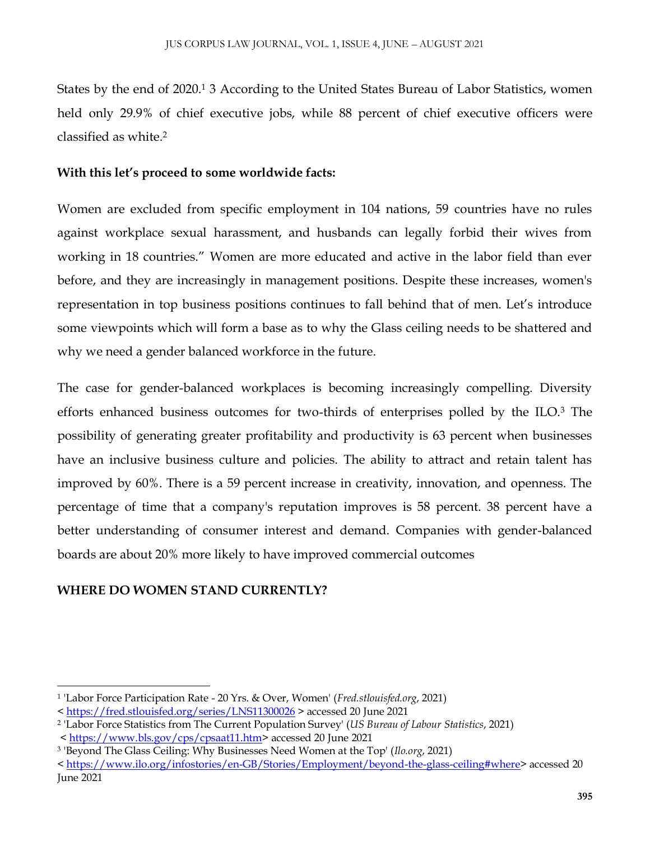States by the end of 2020.<sup>1</sup> 3 According to the United States Bureau of Labor Statistics, women held only 29.9% of chief executive jobs, while 88 percent of chief executive officers were classified as white.<sup>2</sup>

# **With this let's proceed to some worldwide facts:**

Women are excluded from specific employment in 104 nations, 59 countries have no rules against workplace sexual harassment, and husbands can legally forbid their wives from working in 18 countries." Women are more educated and active in the labor field than ever before, and they are increasingly in management positions. Despite these increases, women's representation in top business positions continues to fall behind that of men. Let's introduce some viewpoints which will form a base as to why the Glass ceiling needs to be shattered and why we need a gender balanced workforce in the future.

The case for gender-balanced workplaces is becoming increasingly compelling. Diversity efforts enhanced business outcomes for two-thirds of enterprises polled by the ILO.<sup>3</sup> The possibility of generating greater profitability and productivity is 63 percent when businesses have an inclusive business culture and policies. The ability to attract and retain talent has improved by 60%. There is a 59 percent increase in creativity, innovation, and openness. The percentage of time that a company's reputation improves is 58 percent. 38 percent have a better understanding of consumer interest and demand. Companies with gender-balanced boards are about 20% more likely to have improved commercial outcomes

# **WHERE DO WOMEN STAND CURRENTLY?**

 $\overline{a}$ 

<sup>1</sup> 'Labor Force Participation Rate - 20 Yrs. & Over, Women' (*Fred.stlouisfed.org*, 2021)

[<sup>&</sup>lt; https://fred.stlouisfed.org/series/LNS11300026](https://fred.stlouisfed.org/series/LNS11300026) > accessed 20 June 2021

<sup>2</sup> 'Labor Force Statistics from The Current Population Survey' (*US Bureau of Labour Statistics*, 2021)

<sup>&</sup>lt; [https://www.bls.gov/cps/cpsaat11.htm>](https://www.bls.gov/cps/cpsaat11.htm) accessed 20 June 2021

<sup>3</sup> 'Beyond The Glass Ceiling: Why Businesses Need Women at the Top' (*Ilo.org*, 2021)

[<sup>&</sup>lt; https://www.ilo.org/infostories/en-GB/Stories/Employment/beyond-the-glass-ceiling#where>](https://www.ilo.org/infostories/en-GB/Stories/Employment/beyond-the-glass-ceiling#where) accessed 20 June 2021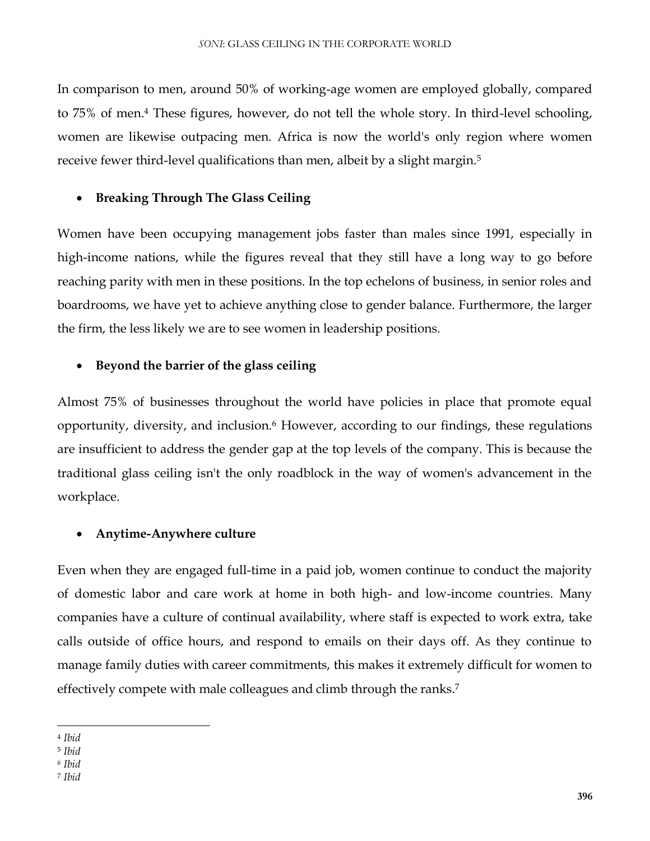In comparison to men, around 50% of working-age women are employed globally, compared to 75% of men.<sup>4</sup> These figures, however, do not tell the whole story. In third-level schooling, women are likewise outpacing men. Africa is now the world's only region where women receive fewer third-level qualifications than men, albeit by a slight margin.<sup>5</sup>

### **Breaking Through The Glass Ceiling**

Women have been occupying management jobs faster than males since 1991, especially in high-income nations, while the figures reveal that they still have a long way to go before reaching parity with men in these positions. In the top echelons of business, in senior roles and boardrooms, we have yet to achieve anything close to gender balance. Furthermore, the larger the firm, the less likely we are to see women in leadership positions.

#### **Beyond the barrier of the glass ceiling**

Almost 75% of businesses throughout the world have policies in place that promote equal opportunity, diversity, and inclusion.<sup>6</sup> However, according to our findings, these regulations are insufficient to address the gender gap at the top levels of the company. This is because the traditional glass ceiling isn't the only roadblock in the way of women's advancement in the workplace.

#### **Anytime-Anywhere culture**

Even when they are engaged full-time in a paid job, women continue to conduct the majority of domestic labor and care work at home in both high- and low-income countries. Many companies have a culture of continual availability, where staff is expected to work extra, take calls outside of office hours, and respond to emails on their days off. As they continue to manage family duties with career commitments, this makes it extremely difficult for women to effectively compete with male colleagues and climb through the ranks.<sup>7</sup>

 $\overline{a}$ <sup>4</sup> *Ibid*

<sup>5</sup> *Ibid*

*<sup>6</sup> Ibid*

<sup>7</sup> *Ibid*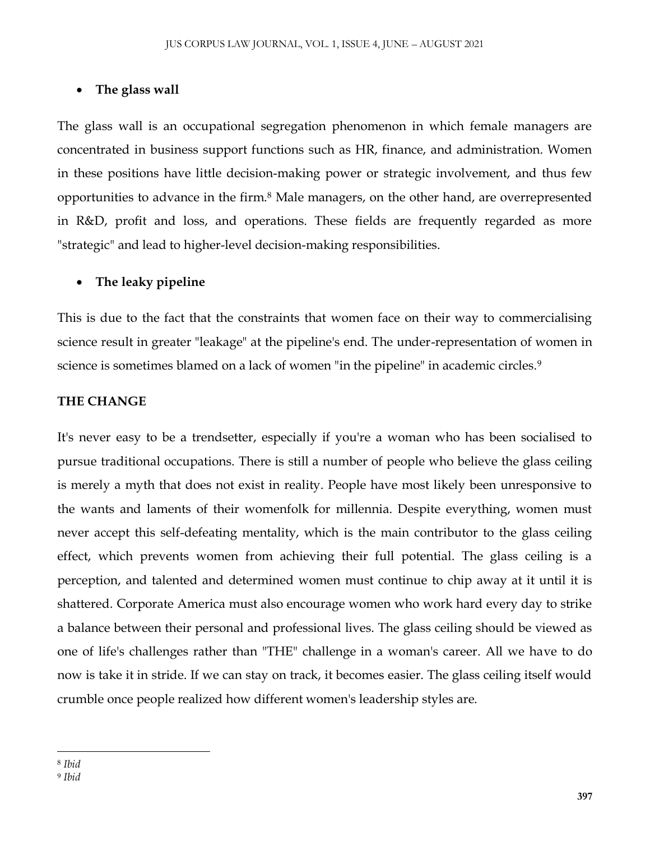# **The glass wall**

The glass wall is an occupational segregation phenomenon in which female managers are concentrated in business support functions such as HR, finance, and administration. Women in these positions have little decision-making power or strategic involvement, and thus few opportunities to advance in the firm.<sup>8</sup> Male managers, on the other hand, are overrepresented in R&D, profit and loss, and operations. These fields are frequently regarded as more "strategic" and lead to higher-level decision-making responsibilities.

# **The leaky pipeline**

This is due to the fact that the constraints that women face on their way to commercialising science result in greater "leakage" at the pipeline's end. The under-representation of women in science is sometimes blamed on a lack of women "in the pipeline" in academic circles.<sup>9</sup>

# **THE CHANGE**

It's never easy to be a trendsetter, especially if you're a woman who has been socialised to pursue traditional occupations. There is still a number of people who believe the glass ceiling is merely a myth that does not exist in reality. People have most likely been unresponsive to the wants and laments of their womenfolk for millennia. Despite everything, women must never accept this self-defeating mentality, which is the main contributor to the glass ceiling effect, which prevents women from achieving their full potential. The glass ceiling is a perception, and talented and determined women must continue to chip away at it until it is shattered. Corporate America must also encourage women who work hard every day to strike a balance between their personal and professional lives. The glass ceiling should be viewed as one of life's challenges rather than "THE" challenge in a woman's career. All we have to do now is take it in stride. If we can stay on track, it becomes easier. The glass ceiling itself would crumble once people realized how different women's leadership styles are.

 $\overline{\phantom{a}}$ <sup>8</sup> *Ibid*

<sup>9</sup> *Ibid*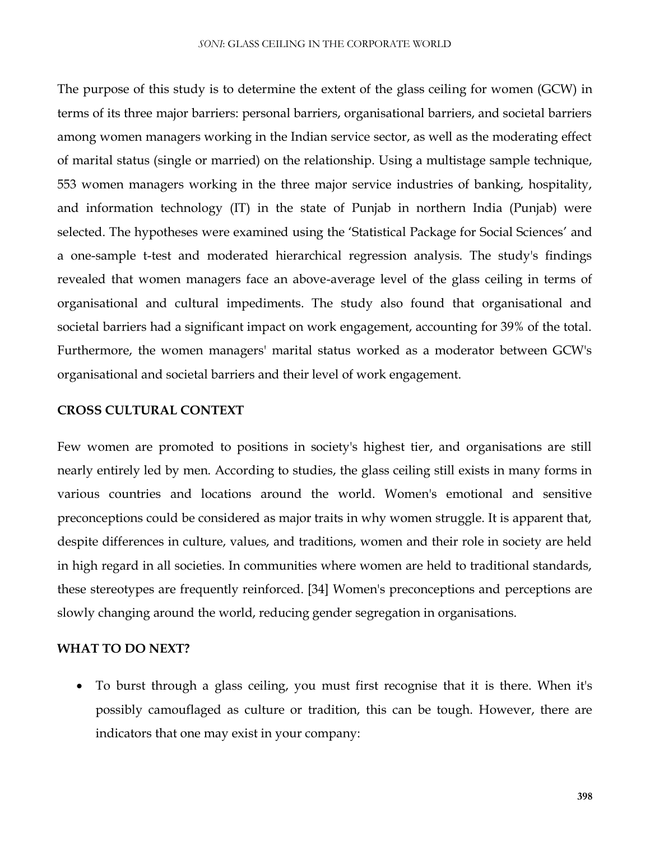The purpose of this study is to determine the extent of the glass ceiling for women (GCW) in terms of its three major barriers: personal barriers, organisational barriers, and societal barriers among women managers working in the Indian service sector, as well as the moderating effect of marital status (single or married) on the relationship. Using a multistage sample technique, 553 women managers working in the three major service industries of banking, hospitality, and information technology (IT) in the state of Punjab in northern India (Punjab) were selected. The hypotheses were examined using the 'Statistical Package for Social Sciences' and a one-sample t-test and moderated hierarchical regression analysis. The study's findings revealed that women managers face an above-average level of the glass ceiling in terms of organisational and cultural impediments. The study also found that organisational and societal barriers had a significant impact on work engagement, accounting for 39% of the total. Furthermore, the women managers' marital status worked as a moderator between GCW's organisational and societal barriers and their level of work engagement.

#### **CROSS CULTURAL CONTEXT**

Few women are promoted to positions in society's highest tier, and organisations are still nearly entirely led by men. According to studies, the glass ceiling still exists in many forms in various countries and locations around the world. Women's emotional and sensitive preconceptions could be considered as major traits in why women struggle. It is apparent that, despite differences in culture, values, and traditions, women and their role in society are held in high regard in all societies. In communities where women are held to traditional standards, these stereotypes are frequently reinforced. [34] Women's preconceptions and perceptions are slowly changing around the world, reducing gender segregation in organisations.

# **WHAT TO DO NEXT?**

 To burst through a glass ceiling, you must first recognise that it is there. When it's possibly camouflaged as culture or tradition, this can be tough. However, there are indicators that one may exist in your company: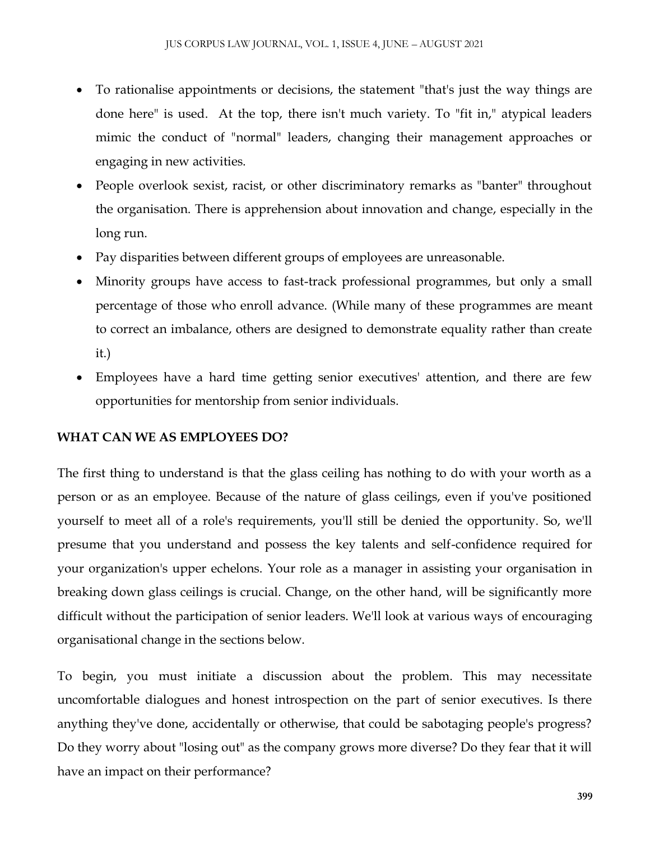- To rationalise appointments or decisions, the statement "that's just the way things are done here" is used. At the top, there isn't much variety. To "fit in," atypical leaders mimic the conduct of "normal" leaders, changing their management approaches or engaging in new activities.
- People overlook sexist, racist, or other discriminatory remarks as "banter" throughout the organisation. There is apprehension about innovation and change, especially in the long run.
- Pay disparities between different groups of employees are unreasonable.
- Minority groups have access to fast-track professional programmes, but only a small percentage of those who enroll advance. (While many of these programmes are meant to correct an imbalance, others are designed to demonstrate equality rather than create it.)
- Employees have a hard time getting senior executives' attention, and there are few opportunities for mentorship from senior individuals.

# **WHAT CAN WE AS EMPLOYEES DO?**

The first thing to understand is that the glass ceiling has nothing to do with your worth as a person or as an employee. Because of the nature of glass ceilings, even if you've positioned yourself to meet all of a role's requirements, you'll still be denied the opportunity. So, we'll presume that you understand and possess the key talents and self-confidence required for your organization's upper echelons. Your role as a manager in assisting your organisation in breaking down glass ceilings is crucial. Change, on the other hand, will be significantly more difficult without the participation of senior leaders. We'll look at various ways of encouraging organisational change in the sections below.

To begin, you must initiate a discussion about the problem. This may necessitate uncomfortable dialogues and honest introspection on the part of senior executives. Is there anything they've done, accidentally or otherwise, that could be sabotaging people's progress? Do they worry about "losing out" as the company grows more diverse? Do they fear that it will have an impact on their performance?